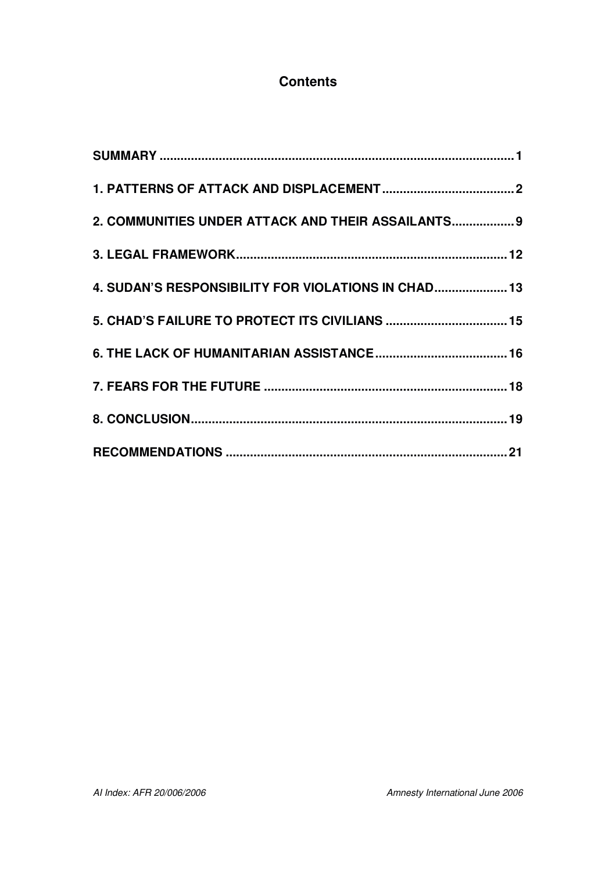### **Contents**

| 2. COMMUNITIES UNDER ATTACK AND THEIR ASSAILANTS 9  |  |
|-----------------------------------------------------|--|
|                                                     |  |
| 4. SUDAN'S RESPONSIBILITY FOR VIOLATIONS IN CHAD 13 |  |
|                                                     |  |
|                                                     |  |
|                                                     |  |
|                                                     |  |
|                                                     |  |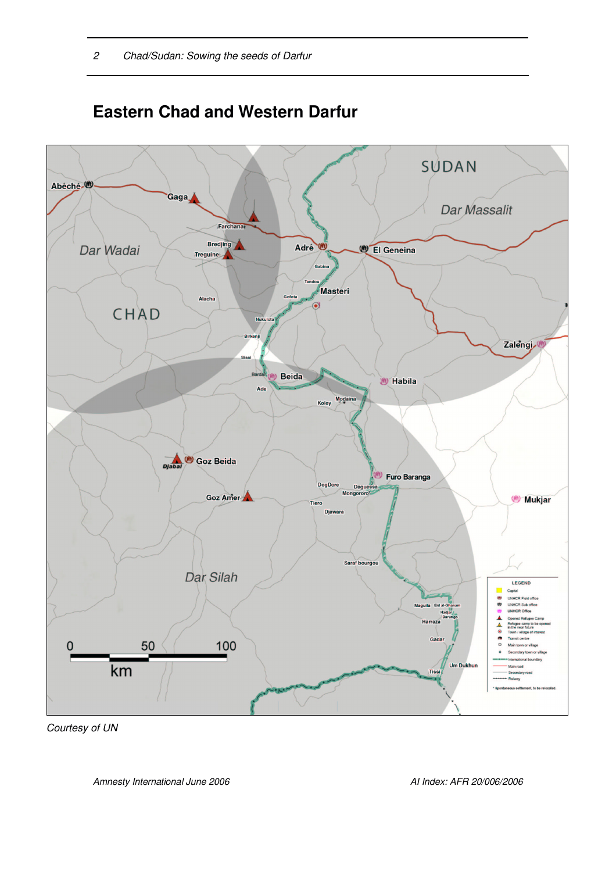

# **Eastern Chad and Western Darfur**

*Courtesy of UN*

*Amnesty International June 2006 AI Index: AFR 20/006/2006*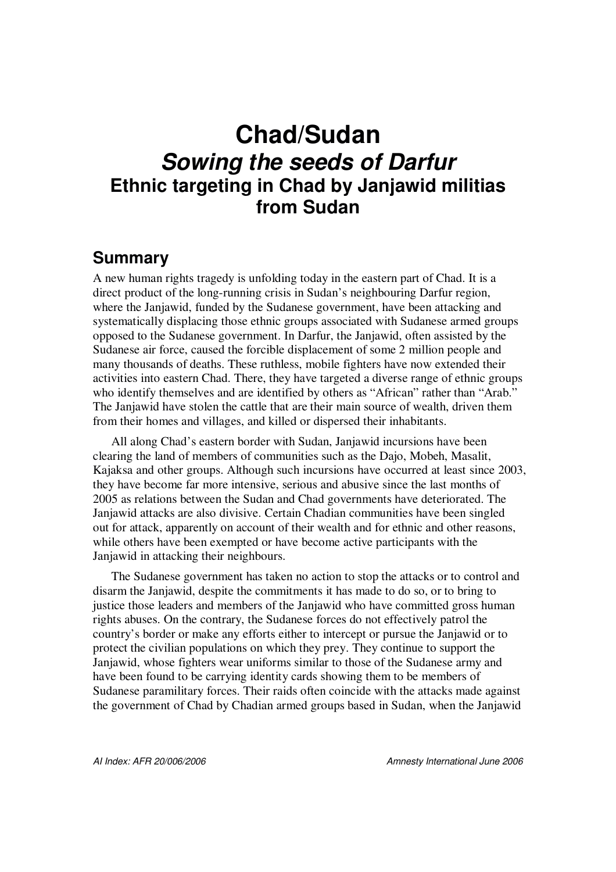# **Chad/Sudan** *Sowing the seeds of Darfur* **Ethnic targeting in Chad by Janjawid militias from Sudan**

## **Summary**

A new human rights tragedy is unfolding today in the eastern part of Chad. It is a direct product of the long-running crisis in Sudan's neighbouring Darfur region, where the Janjawid, funded by the Sudanese government, have been attacking and systematically displacing those ethnic groups associated with Sudanese armed groups opposed to the Sudanese government. In Darfur, the Janjawid, often assisted by the Sudanese air force, caused the forcible displacement of some 2 million people and many thousands of deaths. These ruthless, mobile fighters have now extended their activities into eastern Chad. There, they have targeted a diverse range of ethnic groups who identify themselves and are identified by others as "African" rather than "Arab." The Janjawid have stolen the cattle that are their main source of wealth, driven them from their homes and villages, and killed or dispersed their inhabitants.

All along Chad's eastern border with Sudan, Janjawid incursions have been clearing the land of members of communities such as the Dajo, Mobeh, Masalit, Kajaksa and other groups. Although such incursions have occurred at least since 2003, they have become far more intensive, serious and abusive since the last months of 2005 as relations between the Sudan and Chad governments have deteriorated. The Janjawid attacks are also divisive. Certain Chadian communities have been singled out for attack, apparently on account of their wealth and for ethnic and other reasons, while others have been exempted or have become active participants with the Janjawid in attacking their neighbours.

The Sudanese government has taken no action to stop the attacks or to control and disarm the Janjawid, despite the commitments it has made to do so, or to bring to justice those leaders and members of the Janjawid who have committed gross human rights abuses. On the contrary, the Sudanese forces do not effectively patrol the country's border or make any efforts either to intercept or pursue the Janjawid or to protect the civilian populations on which they prey. They continue to support the Janjawid, whose fighters wear uniforms similar to those of the Sudanese army and have been found to be carrying identity cards showing them to be members of Sudanese paramilitary forces. Their raids often coincide with the attacks made against the government of Chad by Chadian armed groups based in Sudan, when the Janjawid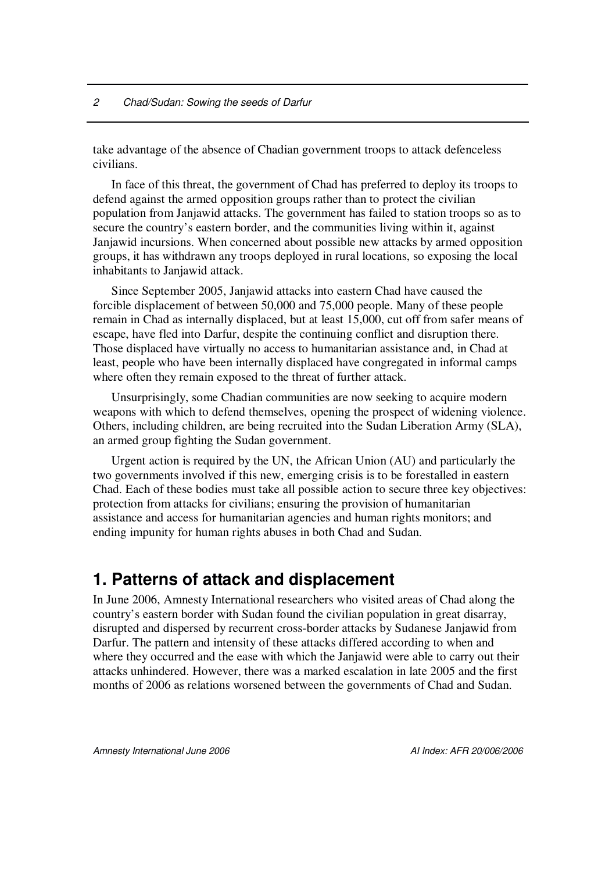take advantage of the absence of Chadian government troops to attack defenceless civilians.

In face of this threat, the government of Chad has preferred to deploy its troops to defend against the armed opposition groups rather than to protect the civilian population from Janjawid attacks. The government has failed to station troops so as to secure the country's eastern border, and the communities living within it, against Janjawid incursions. When concerned about possible new attacks by armed opposition groups, it has withdrawn any troops deployed in rural locations, so exposing the local inhabitants to Janjawid attack.

Since September 2005, Janjawid attacks into eastern Chad have caused the forcible displacement of between 50,000 and 75,000 people. Many of these people remain in Chad as internally displaced, but at least 15,000, cut off from safer means of escape, have fled into Darfur, despite the continuing conflict and disruption there. Those displaced have virtually no access to humanitarian assistance and, in Chad at least, people who have been internally displaced have congregated in informal camps where often they remain exposed to the threat of further attack.

Unsurprisingly, some Chadian communities are now seeking to acquire modern weapons with which to defend themselves, opening the prospect of widening violence. Others, including children, are being recruited into the Sudan Liberation Army (SLA), an armed group fighting the Sudan government.

Urgent action is required by the UN, the African Union (AU) and particularly the two governments involved if this new, emerging crisis is to be forestalled in eastern Chad. Each of these bodies must take all possible action to secure three key objectives: protection from attacks for civilians; ensuring the provision of humanitarian assistance and access for humanitarian agencies and human rights monitors; and ending impunity for human rights abuses in both Chad and Sudan.

### **1. Patterns of attack and displacement**

In June 2006, Amnesty International researchers who visited areas of Chad along the country's eastern border with Sudan found the civilian population in great disarray, disrupted and dispersed by recurrent cross-border attacks by Sudanese Janjawid from Darfur. The pattern and intensity of these attacks differed according to when and where they occurred and the ease with which the Janjawid were able to carry out their attacks unhindered. However, there was a marked escalation in late 2005 and the first months of 2006 as relations worsened between the governments of Chad and Sudan.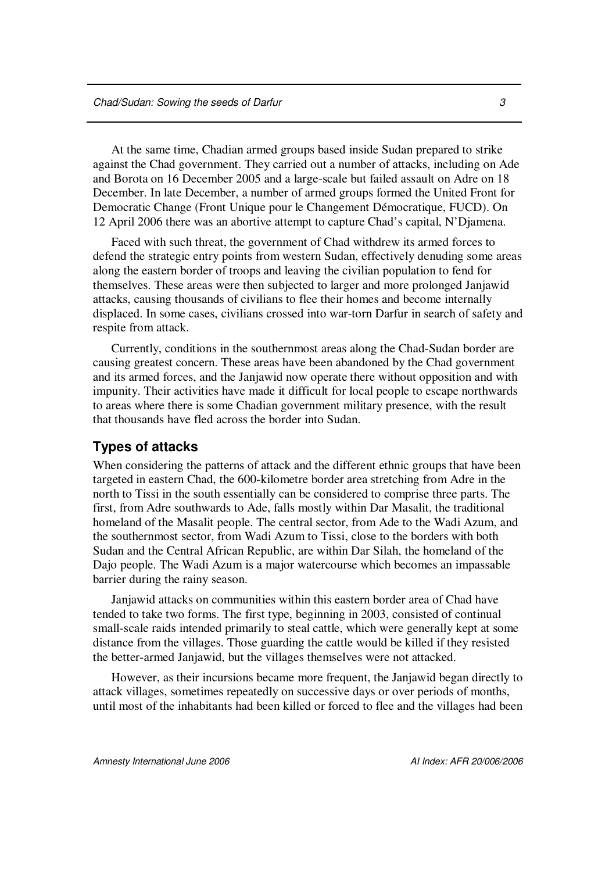At the same time, Chadian armed groups based inside Sudan prepared to strike against the Chad government. They carried out a number of attacks, including on Ade and Borota on 16 December 2005 and a large-scale but failed assault on Adre on 18 December. In late December, a number of armed groups formed the United Front for Democratic Change (Front Unique pour le Changement Démocratique, FUCD). On 12 April 2006 there was an abortive attempt to capture Chad's capital, N'Djamena.

Faced with such threat, the government of Chad withdrew its armed forces to defend the strategic entry points from western Sudan, effectively denuding some areas along the eastern border of troops and leaving the civilian population to fend for themselves. These areas were then subjected to larger and more prolonged Janjawid attacks, causing thousands of civilians to flee their homes and become internally displaced. In some cases, civilians crossed into war-torn Darfur in search of safety and respite from attack.

Currently, conditions in the southernmost areas along the Chad-Sudan border are causing greatest concern. These areas have been abandoned by the Chad government and its armed forces, and the Janjawid now operate there without opposition and with impunity. Their activities have made it difficult for local people to escape northwards to areas where there is some Chadian government military presence, with the result that thousands have fled across the border into Sudan.

### **Types of attacks**

When considering the patterns of attack and the different ethnic groups that have been targeted in eastern Chad, the 600-kilometre border area stretching from Adre in the north to Tissi in the south essentially can be considered to comprise three parts. The first, from Adre southwards to Ade, falls mostly within Dar Masalit, the traditional homeland of the Masalit people. The central sector, from Ade to the Wadi Azum, and the southernmost sector, from Wadi Azum to Tissi, close to the borders with both Sudan and the Central African Republic, are within Dar Silah, the homeland of the Dajo people. The Wadi Azum is a major watercourse which becomes an impassable barrier during the rainy season.

Janjawid attacks on communities within this eastern border area of Chad have tended to take two forms. The first type, beginning in 2003, consisted of continual small-scale raids intended primarily to steal cattle, which were generally kept at some distance from the villages. Those guarding the cattle would be killed if they resisted the better-armed Janjawid, but the villages themselves were not attacked.

However, as their incursions became more frequent, the Janjawid began directly to attack villages, sometimes repeatedly on successive days or over periods of months, until most of the inhabitants had been killed or forced to flee and the villages had been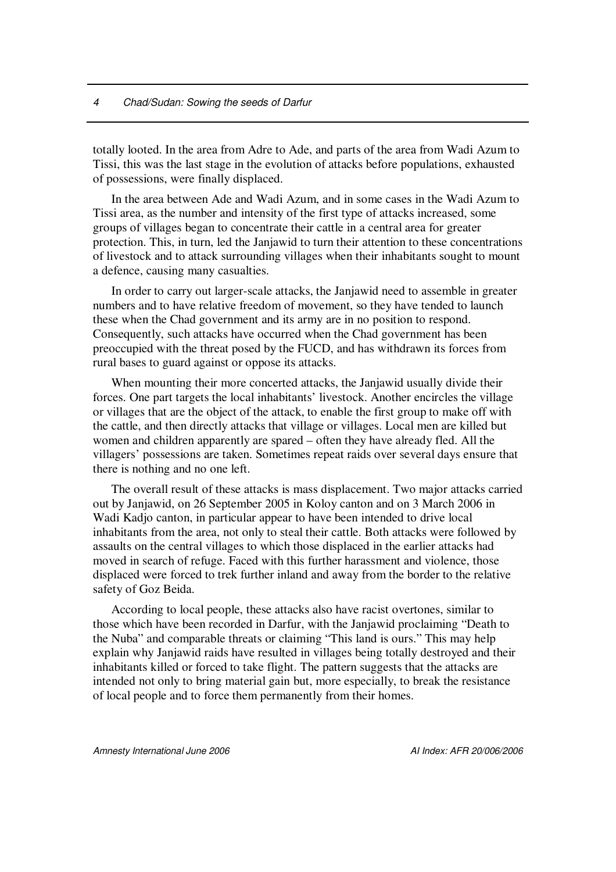totally looted. In the area from Adre to Ade, and parts of the area from Wadi Azum to Tissi, this was the last stage in the evolution of attacks before populations, exhausted of possessions, were finally displaced.

In the area between Ade and Wadi Azum, and in some cases in the Wadi Azum to Tissi area, as the number and intensity of the first type of attacks increased, some groups of villages began to concentrate their cattle in a central area for greater protection. This, in turn, led the Janjawid to turn their attention to these concentrations of livestock and to attack surrounding villages when their inhabitants sought to mount a defence, causing many casualties.

In order to carry out larger-scale attacks, the Janjawid need to assemble in greater numbers and to have relative freedom of movement, so they have tended to launch these when the Chad government and its army are in no position to respond. Consequently, such attacks have occurred when the Chad government has been preoccupied with the threat posed by the FUCD, and has withdrawn its forces from rural bases to guard against or oppose its attacks.

When mounting their more concerted attacks, the Janjawid usually divide their forces. One part targets the local inhabitants' livestock. Another encircles the village or villages that are the object of the attack, to enable the first group to make off with the cattle, and then directly attacks that village or villages. Local men are killed but women and children apparently are spared – often they have already fled. All the villagers' possessions are taken. Sometimes repeat raids over several days ensure that there is nothing and no one left.

The overall result of these attacks is mass displacement. Two major attacks carried out by Janjawid, on 26 September 2005 in Koloy canton and on 3 March 2006 in Wadi Kadjo canton, in particular appear to have been intended to drive local inhabitants from the area, not only to steal their cattle. Both attacks were followed by assaults on the central villages to which those displaced in the earlier attacks had moved in search of refuge. Faced with this further harassment and violence, those displaced were forced to trek further inland and away from the border to the relative safety of Goz Beida.

According to local people, these attacks also have racist overtones, similar to those which have been recorded in Darfur, with the Janjawid proclaiming "Death to the Nuba" and comparable threats or claiming "This land is ours." This may help explain why Janjawid raids have resulted in villages being totally destroyed and their inhabitants killed or forced to take flight. The pattern suggests that the attacks are intended not only to bring material gain but, more especially, to break the resistance of local people and to force them permanently from their homes.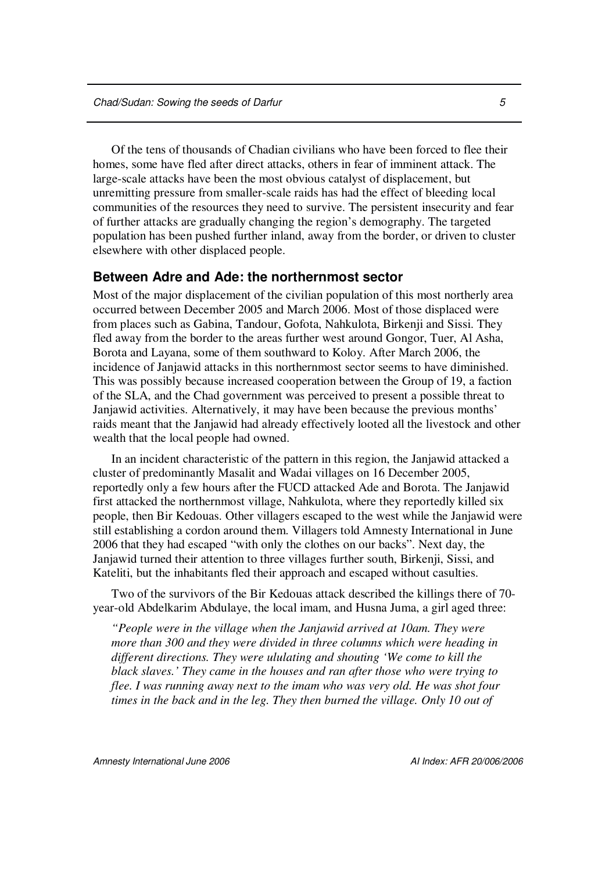Of the tens of thousands of Chadian civilians who have been forced to flee their homes, some have fled after direct attacks, others in fear of imminent attack. The large-scale attacks have been the most obvious catalyst of displacement, but unremitting pressure from smaller-scale raids has had the effect of bleeding local communities of the resources they need to survive. The persistent insecurity and fear of further attacks are gradually changing the region's demography. The targeted population has been pushed further inland, away from the border, or driven to cluster elsewhere with other displaced people.

#### **Between Adre and Ade: the northernmost sector**

Most of the major displacement of the civilian population of this most northerly area occurred between December 2005 and March 2006. Most of those displaced were from places such as Gabina, Tandour, Gofota, Nahkulota, Birkenji and Sissi. They fled away from the border to the areas further west around Gongor, Tuer, Al Asha, Borota and Layana, some of them southward to Koloy. After March 2006, the incidence of Janjawid attacks in this northernmost sector seems to have diminished. This was possibly because increased cooperation between the Group of 19, a faction of the SLA, and the Chad government was perceived to present a possible threat to Janjawid activities. Alternatively, it may have been because the previous months' raids meant that the Janjawid had already effectively looted all the livestock and other wealth that the local people had owned.

In an incident characteristic of the pattern in this region, the Janjawid attacked a cluster of predominantly Masalit and Wadai villages on 16 December 2005, reportedly only a few hours after the FUCD attacked Ade and Borota. The Janjawid first attacked the northernmost village, Nahkulota, where they reportedly killed six people, then Bir Kedouas. Other villagers escaped to the west while the Janjawid were still establishing a cordon around them. Villagers told Amnesty International in June 2006 that they had escaped "with only the clothes on our backs". Next day, the Janjawid turned their attention to three villages further south, Birkenji, Sissi, and Kateliti, but the inhabitants fled their approach and escaped without casulties.

Two of the survivors of the Bir Kedouas attack described the killings there of 70 year-old Abdelkarim Abdulaye, the local imam, and Husna Juma, a girl aged three:

*"People were in the village when the Janjawid arrived at 10am. They were more than 300 and they were divided in three columns which were heading in different directions. They were ululating and shouting 'We come to kill the black slaves.' They came in the houses and ran after those who were trying to flee. I was running away next to the imam who was very old. He was shot four times in the back and in the leg. They then burned the village. Only 10 out of*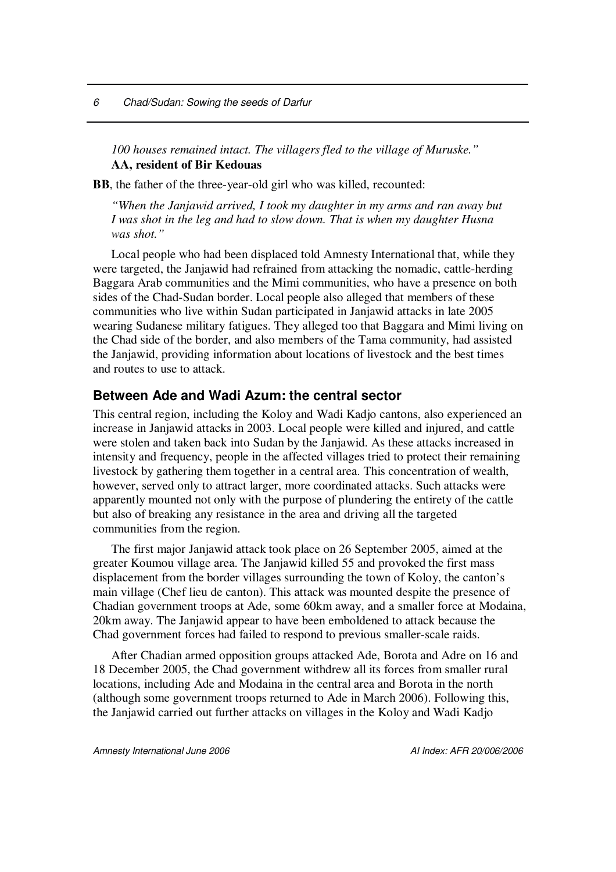*100 houses remained intact. The villagers fled to the village of Muruske."* **AA, resident of Bir Kedouas**

**BB**, the father of the three-year-old girl who was killed, recounted:

*"When the Janjawid arrived, I took my daughter in my arms and ran away but I was shot in the leg and had to slow down. That is when my daughter Husna was shot."*

Local people who had been displaced told Amnesty International that, while they were targeted, the Janjawid had refrained from attacking the nomadic, cattle-herding Baggara Arab communities and the Mimi communities, who have a presence on both sides of the Chad-Sudan border. Local people also alleged that members of these communities who live within Sudan participated in Janjawid attacks in late 2005 wearing Sudanese military fatigues. They alleged too that Baggara and Mimi living on the Chad side of the border, and also members of the Tama community, had assisted the Janjawid, providing information about locations of livestock and the best times and routes to use to attack.

### **Between Ade and Wadi Azum: the central sector**

This central region, including the Koloy and Wadi Kadjo cantons, also experienced an increase in Janjawid attacks in 2003. Local people were killed and injured, and cattle were stolen and taken back into Sudan by the Janjawid. As these attacks increased in intensity and frequency, people in the affected villages tried to protect their remaining livestock by gathering them together in a central area. This concentration of wealth, however, served only to attract larger, more coordinated attacks. Such attacks were apparently mounted not only with the purpose of plundering the entirety of the cattle but also of breaking any resistance in the area and driving all the targeted communities from the region.

The first major Janjawid attack took place on 26 September 2005, aimed at the greater Koumou village area. The Janjawid killed 55 and provoked the first mass displacement from the border villages surrounding the town of Koloy, the canton's main village (Chef lieu de canton). This attack was mounted despite the presence of Chadian government troops at Ade, some 60km away, and a smaller force at Modaina, 20km away. The Janjawid appear to have been emboldened to attack because the Chad government forces had failed to respond to previous smaller-scale raids.

After Chadian armed opposition groups attacked Ade, Borota and Adre on 16 and 18 December 2005, the Chad government withdrew all its forces from smaller rural locations, including Ade and Modaina in the central area and Borota in the north (although some government troops returned to Ade in March 2006). Following this, the Janjawid carried out further attacks on villages in the Koloy and Wadi Kadjo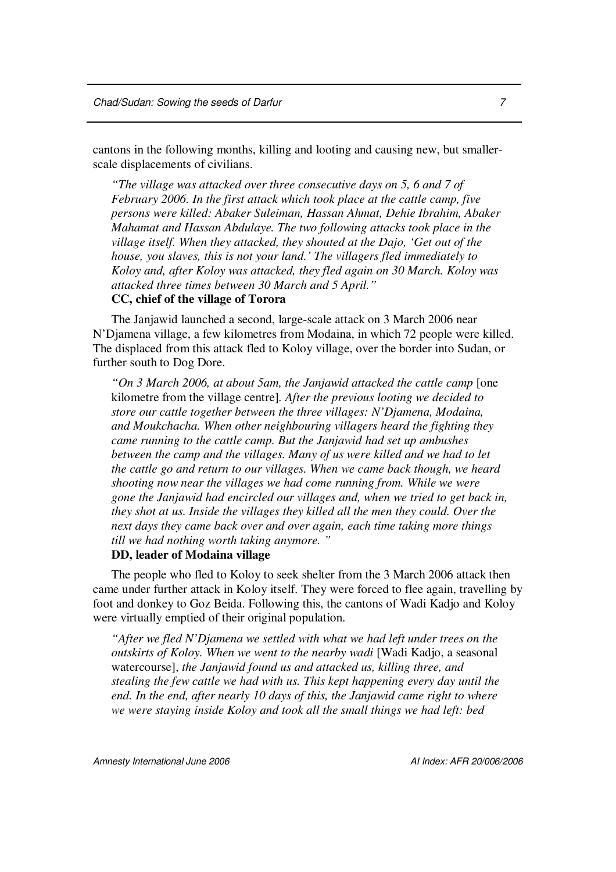cantons in the following months, killing and looting and causing new, but smallerscale displacements of civilians.

*"The village was attacked over three consecutive days on 5, 6 and 7 of February 2006. In the first attack which took place at the cattle camp, five persons were killed: Abaker Suleiman, Hassan Ahmat, Dehie Ibrahim, Abaker Mahamat and Hassan Abdulaye. The two following attacks took place in the village itself. When they attacked, they shouted at the Dajo, 'Get out of the house, you slaves, this is not your land.' The villagers fled immediately to Koloy and, after Koloy was attacked, they fled again on 30 March. Koloy was attacked three times between 30 March and 5 April."*

#### **CC, chief of the village of Torora**

The Janjawid launched a second, large-scale attack on 3 March 2006 near N'Djamena village, a few kilometres from Modaina, in which 72 people were killed. The displaced from this attack fled to Koloy village, over the border into Sudan, or further south to Dog Dore.

*"On 3 March 2006, at about 5am, the Janjawid attacked the cattle camp* [one kilometre from the village centre]*. After the previous looting we decided to store our cattle together between the three villages: N'Djamena, Modaina, and Moukchacha. When other neighbouring villagers heard the fighting they came running to the cattle camp. But the Janjawid had set up ambushes between the camp and the villages. Many of us were killed and we had to let the cattle go and return to our villages. When we came back though, we heard shooting now near the villages we had come running from. While we were gone the Janjawid had encircled our villages and, when we tried to get back in, they shot at us. Inside the villages they killed all the men they could. Over the next days they came back over and over again, each time taking more things till we had nothing worth taking anymore. "*

#### **DD, leader of Modaina village**

The people who fled to Koloy to seek shelter from the 3 March 2006 attack then came under further attack in Koloy itself. They were forced to flee again, travelling by foot and donkey to Goz Beida. Following this, the cantons of Wadi Kadjo and Koloy were virtually emptied of their original population.

*"After we fled N'Djamena we settled with what we had left under trees on the outskirts of Koloy. When we went to the nearby wadi* [Wadi Kadjo, a seasonal watercourse], *the Janjawid found us and attacked us, killing three, and stealing the few cattle we had with us. This kept happening every day until the end. In the end, after nearly 10 days of this, the Janjawid came right to where we were staying inside Koloy and took all the small things we had left: bed*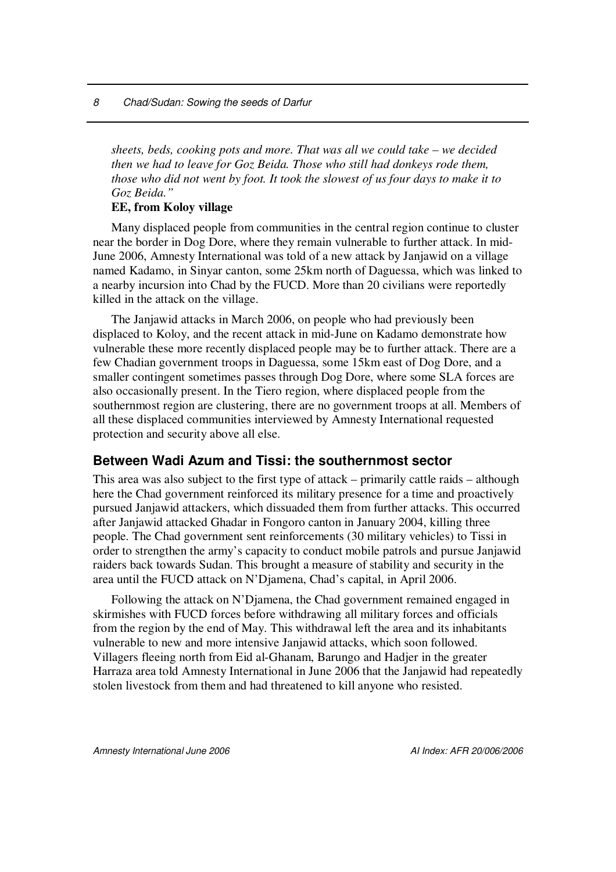*8 Chad/Sudan: Sowing the seeds of Darfur*

*sheets, beds, cooking pots and more. That was all we could take – we decided then we had to leave for Goz Beida. Those who still had donkeys rode them, those who did not went by foot. It took the slowest of us four days to make it to Goz Beida."*

### **EE, from Koloy village**

Many displaced people from communities in the central region continue to cluster near the border in Dog Dore, where they remain vulnerable to further attack. In mid-June 2006, Amnesty International was told of a new attack by Janjawid on a village named Kadamo, in Sinyar canton, some 25km north of Daguessa, which was linked to a nearby incursion into Chad by the FUCD. More than 20 civilians were reportedly killed in the attack on the village.

The Janjawid attacks in March 2006, on people who had previously been displaced to Koloy, and the recent attack in mid-June on Kadamo demonstrate how vulnerable these more recently displaced people may be to further attack. There are a few Chadian government troops in Daguessa, some 15km east of Dog Dore, and a smaller contingent sometimes passes through Dog Dore, where some SLA forces are also occasionally present. In the Tiero region, where displaced people from the southernmost region are clustering, there are no government troops at all. Members of all these displaced communities interviewed by Amnesty International requested protection and security above all else.

### **Between Wadi Azum and Tissi: the southernmost sector**

This area was also subject to the first type of attack – primarily cattle raids – although here the Chad government reinforced its military presence for a time and proactively pursued Janjawid attackers, which dissuaded them from further attacks. This occurred after Janjawid attacked Ghadar in Fongoro canton in January 2004, killing three people. The Chad government sent reinforcements (30 military vehicles) to Tissi in order to strengthen the army's capacity to conduct mobile patrols and pursue Janjawid raiders back towards Sudan. This brought a measure of stability and security in the area until the FUCD attack on N'Djamena, Chad's capital, in April 2006.

Following the attack on N'Djamena, the Chad government remained engaged in skirmishes with FUCD forces before withdrawing all military forces and officials from the region by the end of May. This withdrawal left the area and its inhabitants vulnerable to new and more intensive Janjawid attacks, which soon followed. Villagers fleeing north from Eid al-Ghanam, Barungo and Hadjer in the greater Harraza area told Amnesty International in June 2006 that the Janjawid had repeatedly stolen livestock from them and had threatened to kill anyone who resisted.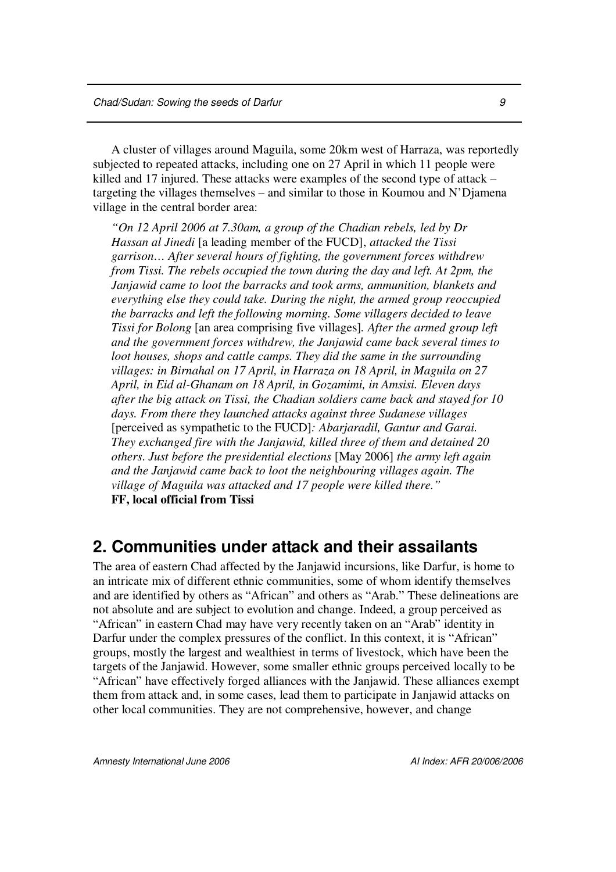A cluster of villages around Maguila, some 20km west of Harraza, was reportedly subjected to repeated attacks, including one on 27 April in which 11 people were killed and 17 injured. These attacks were examples of the second type of attack – targeting the villages themselves – and similar to those in Koumou and N'Djamena village in the central border area:

*"On 12 April 2006 at 7.30am, a group of the Chadian rebels, led by Dr Hassan al Jinedi* [a leading member of the FUCD], *attacked the Tissi garrison… After several hours of fighting, the government forces withdrew from Tissi. The rebels occupied the town during the day and left. At 2pm, the Janjawid came to loot the barracks and took arms, ammunition, blankets and everything else they could take. During the night, the armed group reoccupied the barracks and left the following morning. Some villagers decided to leave Tissi for Bolong* [an area comprising five villages]*. After the armed group left and the government forces withdrew, the Janjawid came back several times to loot houses, shops and cattle camps. They did the same in the surrounding villages: in Birnahal on 17 April, in Harraza on 18 April, in Maguila on 27 April, in Eid al-Ghanam on 18 April, in Gozamimi, in Amsisi. Eleven days after the big attack on Tissi, the Chadian soldiers came back and stayed for 10 days. From there they launched attacks against three Sudanese villages* [perceived as sympathetic to the FUCD]*: Abarjaradil, Gantur and Garai. They exchanged fire with the Janjawid, killed three of them and detained 20 others*. *Just before the presidential elections* [May 2006] *the army left again and the Janjawid came back to loot the neighbouring villages again. The village of Maguila was attacked and 17 people were killed there."* **FF, local official from Tissi**

### **2. Communities under attack and their assailants**

The area of eastern Chad affected by the Janjawid incursions, like Darfur, is home to an intricate mix of different ethnic communities, some of whom identify themselves and are identified by others as "African" and others as "Arab." These delineations are not absolute and are subject to evolution and change. Indeed, a group perceived as "African" in eastern Chad may have very recently taken on an "Arab" identity in Darfur under the complex pressures of the conflict. In this context, it is "African" groups, mostly the largest and wealthiest in terms of livestock, which have been the targets of the Janjawid. However, some smaller ethnic groups perceived locally to be "African" have effectively forged alliances with the Janjawid. These alliances exempt them from attack and, in some cases, lead them to participate in Janjawid attacks on other local communities. They are not comprehensive, however, and change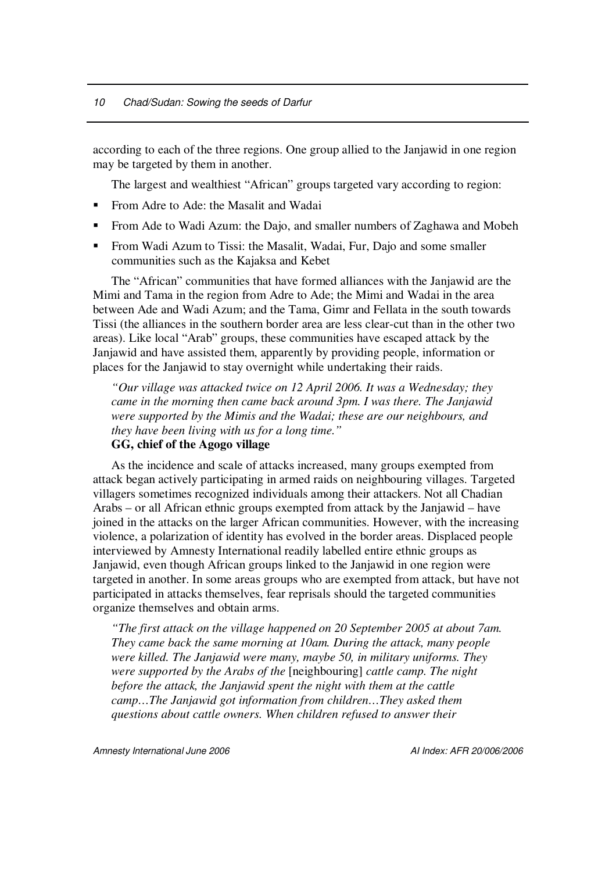according to each of the three regions. One group allied to the Janjawid in one region may be targeted by them in another.

The largest and wealthiest "African" groups targeted vary according to region:

- **From Adre to Ade: the Masalit and Wadai**
- From Ade to Wadi Azum: the Dajo, and smaller numbers of Zaghawa and Mobeh
- **From Wadi Azum to Tissi: the Masalit, Wadai, Fur, Dajo and some smaller** communities such as the Kajaksa and Kebet

The "African" communities that have formed alliances with the Janjawid are the Mimi and Tama in the region from Adre to Ade; the Mimi and Wadai in the area between Ade and Wadi Azum; and the Tama, Gimr and Fellata in the south towards Tissi (the alliances in the southern border area are less clear-cut than in the other two areas). Like local "Arab" groups, these communities have escaped attack by the Janjawid and have assisted them, apparently by providing people, information or places for the Janjawid to stay overnight while undertaking their raids.

*"Our village was attacked twice on 12 April 2006. It was a Wednesday; they came in the morning then came back around 3pm. I was there. The Janjawid were supported by the Mimis and the Wadai; these are our neighbours, and they have been living with us for a long time."*

### **GG, chief of the Agogo village**

As the incidence and scale of attacks increased, many groups exempted from attack began actively participating in armed raids on neighbouring villages. Targeted villagers sometimes recognized individuals among their attackers. Not all Chadian Arabs – or all African ethnic groups exempted from attack by the Janjawid – have joined in the attacks on the larger African communities. However, with the increasing violence, a polarization of identity has evolved in the border areas. Displaced people interviewed by Amnesty International readily labelled entire ethnic groups as Janjawid, even though African groups linked to the Janjawid in one region were targeted in another. In some areas groups who are exempted from attack, but have not participated in attacks themselves, fear reprisals should the targeted communities organize themselves and obtain arms.

*"The first attack on the village happened on 20 September 2005 at about 7am. They came back the same morning at 10am. During the attack, many people were killed. The Janjawid were many, maybe 50, in military uniforms. They were supported by the Arabs of the* [neighbouring] *cattle camp. The night before the attack, the Janjawid spent the night with them at the cattle camp…The Janjawid got information from children…They asked them questions about cattle owners. When children refused to answer their*

*Amnesty International June 2006 AI Index: AFR 20/006/2006*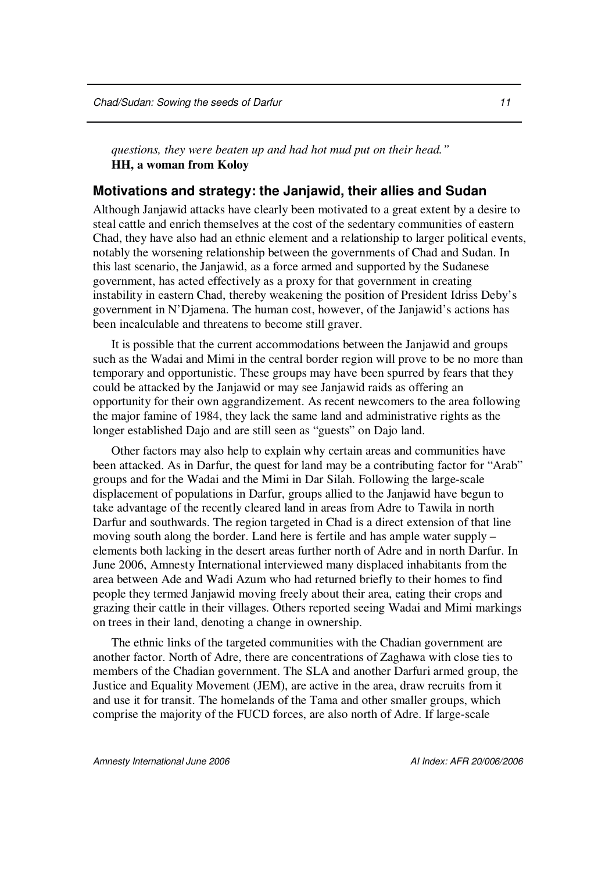*questions, they were beaten up and had hot mud put on their head."* **HH, a woman from Koloy**

#### **Motivations and strategy: the Janjawid, their allies and Sudan**

Although Janjawid attacks have clearly been motivated to a great extent by a desire to steal cattle and enrich themselves at the cost of the sedentary communities of eastern Chad, they have also had an ethnic element and a relationship to larger political events, notably the worsening relationship between the governments of Chad and Sudan. In this last scenario, the Janjawid, as a force armed and supported by the Sudanese government, has acted effectively as a proxy for that government in creating instability in eastern Chad, thereby weakening the position of President Idriss Deby's government in N'Djamena. The human cost, however, of the Janjawid's actions has been incalculable and threatens to become still graver.

It is possible that the current accommodations between the Janjawid and groups such as the Wadai and Mimi in the central border region will prove to be no more than temporary and opportunistic. These groups may have been spurred by fears that they could be attacked by the Janjawid or may see Janjawid raids as offering an opportunity for their own aggrandizement. As recent newcomers to the area following the major famine of 1984, they lack the same land and administrative rights as the longer established Dajo and are still seen as "guests" on Dajo land.

Other factors may also help to explain why certain areas and communities have been attacked. As in Darfur, the quest for land may be a contributing factor for "Arab" groups and for the Wadai and the Mimi in Dar Silah. Following the large-scale displacement of populations in Darfur, groups allied to the Janjawid have begun to take advantage of the recently cleared land in areas from Adre to Tawila in north Darfur and southwards. The region targeted in Chad is a direct extension of that line moving south along the border. Land here is fertile and has ample water supply – elements both lacking in the desert areas further north of Adre and in north Darfur. In June 2006, Amnesty International interviewed many displaced inhabitants from the area between Ade and Wadi Azum who had returned briefly to their homes to find people they termed Janjawid moving freely about their area, eating their crops and grazing their cattle in their villages. Others reported seeing Wadai and Mimi markings on trees in their land, denoting a change in ownership.

The ethnic links of the targeted communities with the Chadian government are another factor. North of Adre, there are concentrations of Zaghawa with close ties to members of the Chadian government. The SLA and another Darfuri armed group, the Justice and Equality Movement (JEM), are active in the area, draw recruits from it and use it for transit. The homelands of the Tama and other smaller groups, which comprise the majority of the FUCD forces, are also north of Adre. If large-scale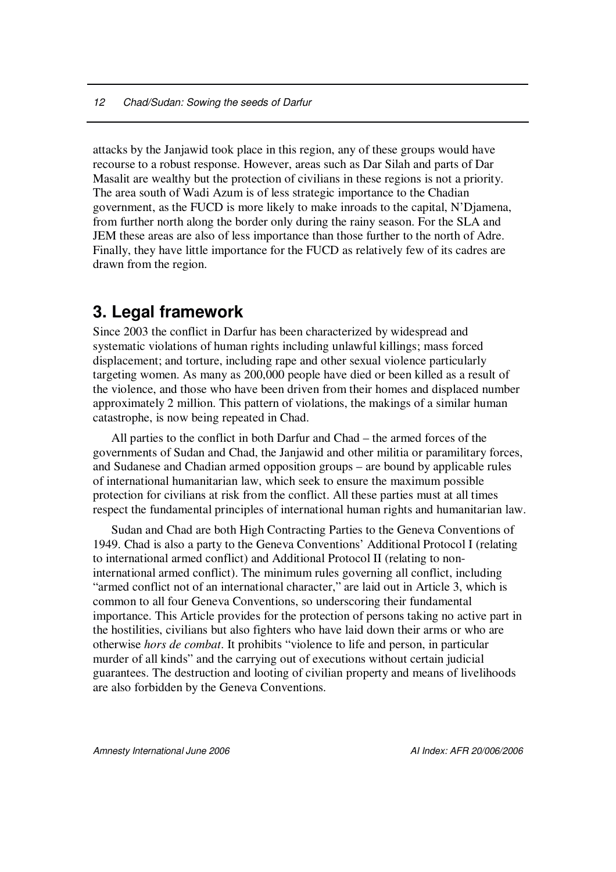attacks by the Janjawid took place in this region, any of these groups would have recourse to a robust response. However, areas such as Dar Silah and parts of Dar Masalit are wealthy but the protection of civilians in these regions is not a priority. The area south of Wadi Azum is of less strategic importance to the Chadian government, as the FUCD is more likely to make inroads to the capital, N'Djamena, from further north along the border only during the rainy season. For the SLA and JEM these areas are also of less importance than those further to the north of Adre. Finally, they have little importance for the FUCD as relatively few of its cadres are drawn from the region.

# **3. Legal framework**

Since 2003 the conflict in Darfur has been characterized by widespread and systematic violations of human rights including unlawful killings; mass forced displacement; and torture, including rape and other sexual violence particularly targeting women. As many as 200,000 people have died or been killed as a result of the violence, and those who have been driven from their homes and displaced number approximately 2 million. This pattern of violations, the makings of a similar human catastrophe, is now being repeated in Chad.

All parties to the conflict in both Darfur and Chad – the armed forces of the governments of Sudan and Chad, the Janjawid and other militia or paramilitary forces, and Sudanese and Chadian armed opposition groups – are bound by applicable rules of international humanitarian law, which seek to ensure the maximum possible protection for civilians at risk from the conflict. All these parties must at all times respect the fundamental principles of international human rights and humanitarian law.

Sudan and Chad are both High Contracting Parties to the Geneva Conventions of 1949. Chad is also a party to the Geneva Conventions' Additional Protocol I (relating to international armed conflict) and Additional Protocol II (relating to noninternational armed conflict). The minimum rules governing all conflict, including "armed conflict not of an international character," are laid out in Article 3, which is common to all four Geneva Conventions, so underscoring their fundamental importance. This Article provides for the protection of persons taking no active part in the hostilities, civilians but also fighters who have laid down their arms or who are otherwise *hors de combat*. It prohibits "violence to life and person, in particular murder of all kinds" and the carrying out of executions without certain judicial guarantees. The destruction and looting of civilian property and means of livelihoods are also forbidden by the Geneva Conventions.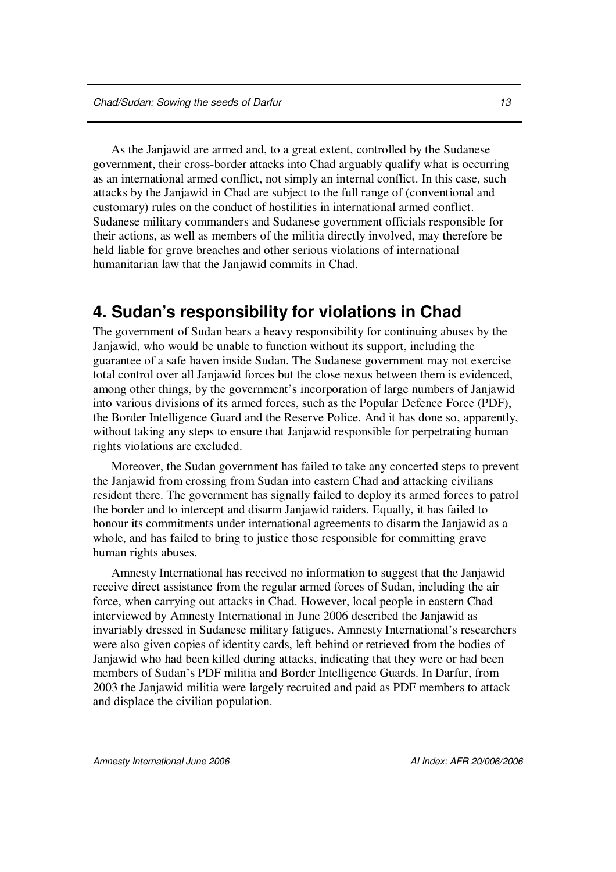As the Janjawid are armed and, to a great extent, controlled by the Sudanese government, their cross-border attacks into Chad arguably qualify what is occurring as an international armed conflict, not simply an internal conflict. In this case, such attacks by the Janjawid in Chad are subject to the full range of (conventional and customary) rules on the conduct of hostilities in international armed conflict. Sudanese military commanders and Sudanese government officials responsible for their actions, as well as members of the militia directly involved, may therefore be held liable for grave breaches and other serious violations of international humanitarian law that the Janjawid commits in Chad.

## **4. Sudan's responsibility for violations in Chad**

The government of Sudan bears a heavy responsibility for continuing abuses by the Janjawid, who would be unable to function without its support, including the guarantee of a safe haven inside Sudan. The Sudanese government may not exercise total control over all Janjawid forces but the close nexus between them is evidenced, among other things, by the government's incorporation of large numbers of Janjawid into various divisions of its armed forces, such as the Popular Defence Force (PDF), the Border Intelligence Guard and the Reserve Police. And it has done so, apparently, without taking any steps to ensure that Janjawid responsible for perpetrating human rights violations are excluded.

Moreover, the Sudan government has failed to take any concerted steps to prevent the Janjawid from crossing from Sudan into eastern Chad and attacking civilians resident there. The government has signally failed to deploy its armed forces to patrol the border and to intercept and disarm Janjawid raiders. Equally, it has failed to honour its commitments under international agreements to disarm the Janjawid as a whole, and has failed to bring to justice those responsible for committing grave human rights abuses.

Amnesty International has received no information to suggest that the Janjawid receive direct assistance from the regular armed forces of Sudan, including the air force, when carrying out attacks in Chad. However, local people in eastern Chad interviewed by Amnesty International in June 2006 described the Janjawid as invariably dressed in Sudanese military fatigues. Amnesty International's researchers were also given copies of identity cards, left behind or retrieved from the bodies of Janjawid who had been killed during attacks, indicating that they were or had been members of Sudan's PDF militia and Border Intelligence Guards. In Darfur, from 2003 the Janjawid militia were largely recruited and paid as PDF members to attack and displace the civilian population.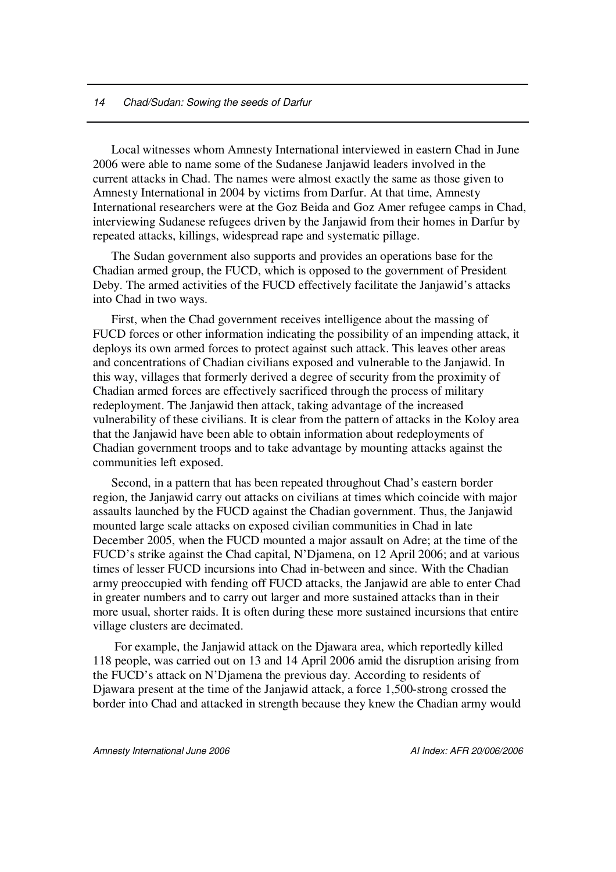#### *14 Chad/Sudan: Sowing the seeds of Darfur*

Local witnesses whom Amnesty International interviewed in eastern Chad in June 2006 were able to name some of the Sudanese Janjawid leaders involved in the current attacks in Chad. The names were almost exactly the same as those given to Amnesty International in 2004 by victims from Darfur. At that time, Amnesty International researchers were at the Goz Beida and Goz Amer refugee camps in Chad, interviewing Sudanese refugees driven by the Janjawid from their homes in Darfur by repeated attacks, killings, widespread rape and systematic pillage.

The Sudan government also supports and provides an operations base for the Chadian armed group, the FUCD, which is opposed to the government of President Deby. The armed activities of the FUCD effectively facilitate the Janjawid's attacks into Chad in two ways.

First, when the Chad government receives intelligence about the massing of FUCD forces or other information indicating the possibility of an impending attack, it deploys its own armed forces to protect against such attack. This leaves other areas and concentrations of Chadian civilians exposed and vulnerable to the Janjawid. In this way, villages that formerly derived a degree of security from the proximity of Chadian armed forces are effectively sacrificed through the process of military redeployment. The Janjawid then attack, taking advantage of the increased vulnerability of these civilians. It is clear from the pattern of attacks in the Koloy area that the Janjawid have been able to obtain information about redeployments of Chadian government troops and to take advantage by mounting attacks against the communities left exposed.

Second, in a pattern that has been repeated throughout Chad's eastern border region, the Janjawid carry out attacks on civilians at times which coincide with major assaults launched by the FUCD against the Chadian government. Thus, the Janjawid mounted large scale attacks on exposed civilian communities in Chad in late December 2005, when the FUCD mounted a major assault on Adre; at the time of the FUCD's strike against the Chad capital, N'Djamena, on 12 April 2006; and at various times of lesser FUCD incursions into Chad in-between and since. With the Chadian army preoccupied with fending off FUCD attacks, the Janjawid are able to enter Chad in greater numbers and to carry out larger and more sustained attacks than in their more usual, shorter raids. It is often during these more sustained incursions that entire village clusters are decimated.

For example, the Janjawid attack on the Djawara area, which reportedly killed 118 people, was carried out on 13 and 14 April 2006 amid the disruption arising from the FUCD's attack on N'Djamena the previous day. According to residents of Djawara present at the time of the Janjawid attack, a force 1,500-strong crossed the border into Chad and attacked in strength because they knew the Chadian army would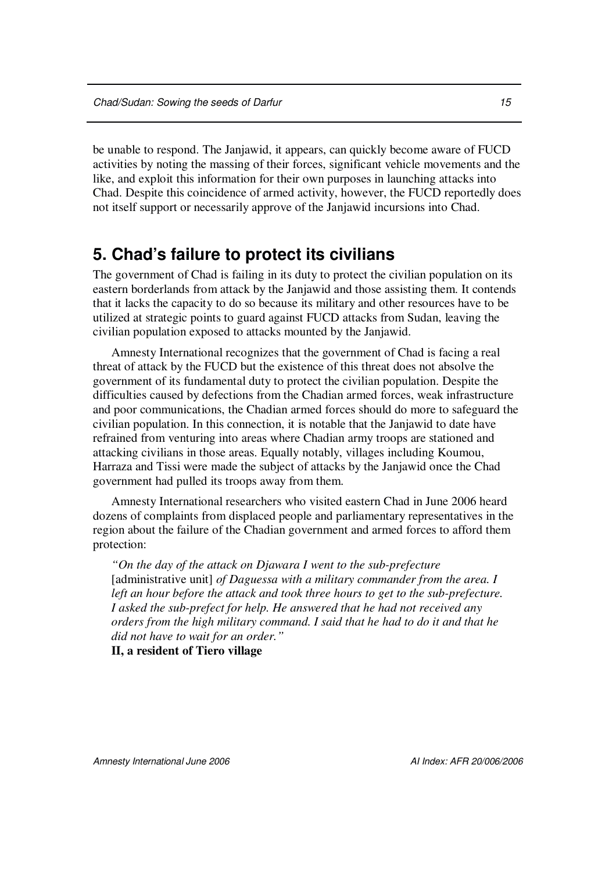be unable to respond. The Janjawid, it appears, can quickly become aware of FUCD activities by noting the massing of their forces, significant vehicle movements and the like, and exploit this information for their own purposes in launching attacks into Chad. Despite this coincidence of armed activity, however, the FUCD reportedly does not itself support or necessarily approve of the Janjawid incursions into Chad.

# **5. Chad's failure to protect its civilians**

The government of Chad is failing in its duty to protect the civilian population on its eastern borderlands from attack by the Janjawid and those assisting them. It contends that it lacks the capacity to do so because its military and other resources have to be utilized at strategic points to guard against FUCD attacks from Sudan, leaving the civilian population exposed to attacks mounted by the Janjawid.

Amnesty International recognizes that the government of Chad is facing a real threat of attack by the FUCD but the existence of this threat does not absolve the government of its fundamental duty to protect the civilian population. Despite the difficulties caused by defections from the Chadian armed forces, weak infrastructure and poor communications, the Chadian armed forces should do more to safeguard the civilian population. In this connection, it is notable that the Janjawid to date have refrained from venturing into areas where Chadian army troops are stationed and attacking civilians in those areas. Equally notably, villages including Koumou, Harraza and Tissi were made the subject of attacks by the Janjawid once the Chad government had pulled its troops away from them.

Amnesty International researchers who visited eastern Chad in June 2006 heard dozens of complaints from displaced people and parliamentary representatives in the region about the failure of the Chadian government and armed forces to afford them protection:

*"On the day of the attack on Djawara I went to the sub-prefecture* [administrative unit] *of Daguessa with a military commander from the area. I left an hour before the attack and took three hours to get to the sub-prefecture. I asked the sub-prefect for help. He answered that he had not received any orders from the high military command. I said that he had to do it and that he did not have to wait for an order."*

**II, a resident of Tiero village**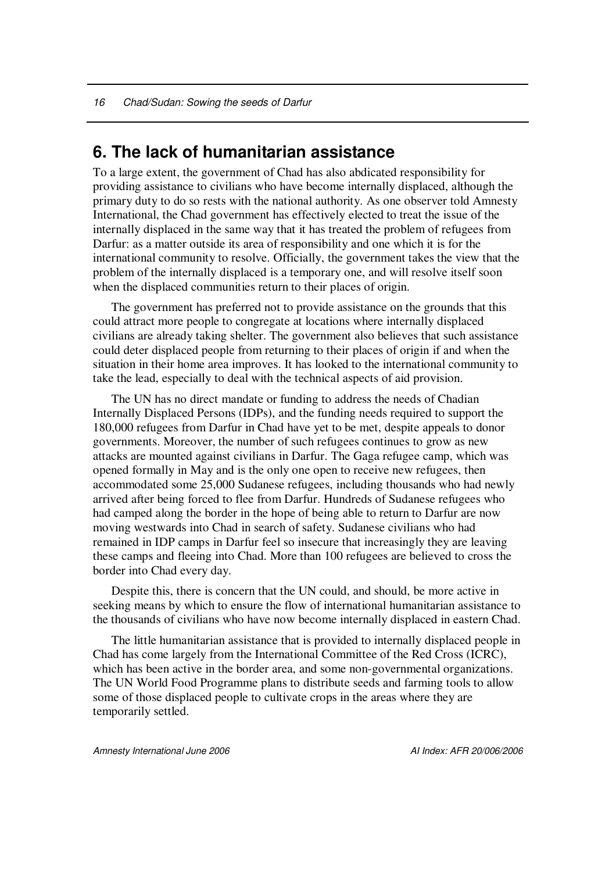### **6. The lack of humanitarian assistance**

To a large extent, the government of Chad has also abdicated responsibility for providing assistance to civilians who have become internally displaced, although the primary duty to do so rests with the national authority. As one observer told Amnesty International, the Chad government has effectively elected to treat the issue of the internally displaced in the same way that it has treated the problem of refugees from Darfur: as a matter outside its area of responsibility and one which it is for the international community to resolve. Officially, the government takes the view that the problem of the internally displaced is a temporary one, and will resolve itself soon when the displaced communities return to their places of origin.

The government has preferred not to provide assistance on the grounds that this could attract more people to congregate at locations where internally displaced civilians are already taking shelter. The government also believes that such assistance could deter displaced people from returning to their places of origin if and when the situation in their home area improves. It has looked to the international community to take the lead, especially to deal with the technical aspects of aid provision.

The UN has no direct mandate or funding to address the needs of Chadian Internally Displaced Persons (IDPs), and the funding needs required to support the 180,000 refugees from Darfur in Chad have yet to be met, despite appeals to donor governments. Moreover, the number of such refugees continues to grow as new attacks are mounted against civilians in Darfur. The Gaga refugee camp, which was opened formally in May and is the only one open to receive new refugees, then accommodated some 25,000 Sudanese refugees, including thousands who had newly arrived after being forced to flee from Darfur. Hundreds of Sudanese refugees who had camped along the border in the hope of being able to return to Darfur are now moving westwards into Chad in search of safety. Sudanese civilians who had remained in IDP camps in Darfur feel so insecure that increasingly they are leaving these camps and fleeing into Chad. More than 100 refugees are believed to cross the border into Chad every day.

Despite this, there is concern that the UN could, and should, be more active in seeking means by which to ensure the flow of international humanitarian assistance to the thousands of civilians who have now become internally displaced in eastern Chad.

The little humanitarian assistance that is provided to internally displaced people in Chad has come largely from the International Committee of the Red Cross (ICRC), which has been active in the border area, and some non-governmental organizations. The UN World Food Programme plans to distribute seeds and farming tools to allow some of those displaced people to cultivate crops in the areas where they are temporarily settled.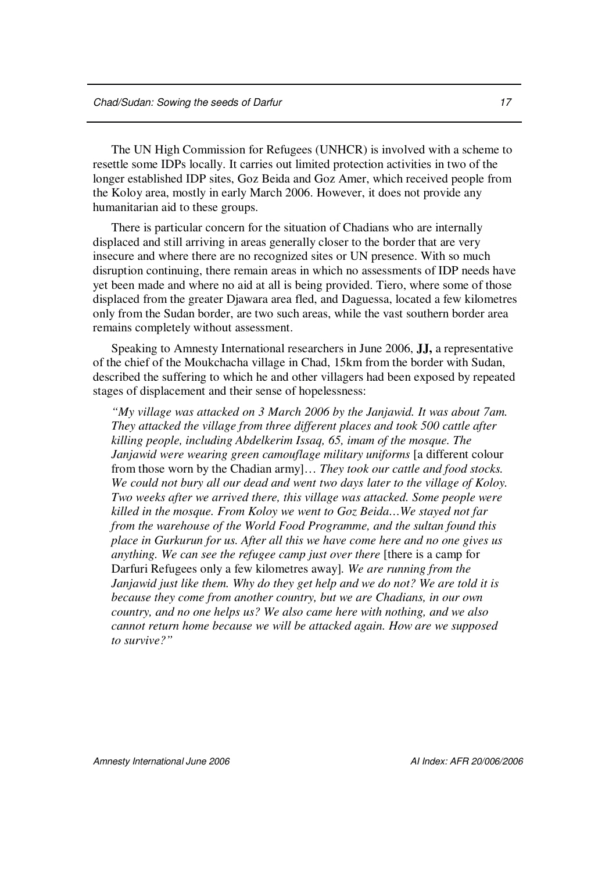The UN High Commission for Refugees (UNHCR) is involved with a scheme to resettle some IDPs locally. It carries out limited protection activities in two of the longer established IDP sites, Goz Beida and Goz Amer, which received people from the Koloy area, mostly in early March 2006. However, it does not provide any humanitarian aid to these groups.

There is particular concern for the situation of Chadians who are internally displaced and still arriving in areas generally closer to the border that are very insecure and where there are no recognized sites or UN presence. With so much disruption continuing, there remain areas in which no assessments of IDP needs have yet been made and where no aid at all is being provided. Tiero, where some of those displaced from the greater Djawara area fled, and Daguessa, located a few kilometres only from the Sudan border, are two such areas, while the vast southern border area remains completely without assessment.

Speaking to Amnesty International researchers in June 2006, **JJ,** a representative of the chief of the Moukchacha village in Chad, 15km from the border with Sudan, described the suffering to which he and other villagers had been exposed by repeated stages of displacement and their sense of hopelessness:

*"My village was attacked on 3 March 2006 by the Janjawid. It was about 7am. They attacked the village from three different places and took 500 cattle after killing people, including Abdelkerim Issaq, 65, imam of the mosque. The Janjawid were wearing green camouflage military uniforms* [a different colour from those worn by the Chadian army]… *They took our cattle and food stocks. We could not bury all our dead and went two days later to the village of Koloy. Two weeks after we arrived there, this village was attacked. Some people were killed in the mosque. From Koloy we went to Goz Beida…We stayed not far from the warehouse of the World Food Programme, and the sultan found this place in Gurkurun for us. After all this we have come here and no one gives us anything. We can see the refugee camp just over there* [there is a camp for Darfuri Refugees only a few kilometres away]*. We are running from the Janjawid just like them. Why do they get help and we do not? We are told it is because they come from another country, but we are Chadians, in our own country, and no one helps us? We also came here with nothing, and we also cannot return home because we will be attacked again. How are we supposed to survive?"*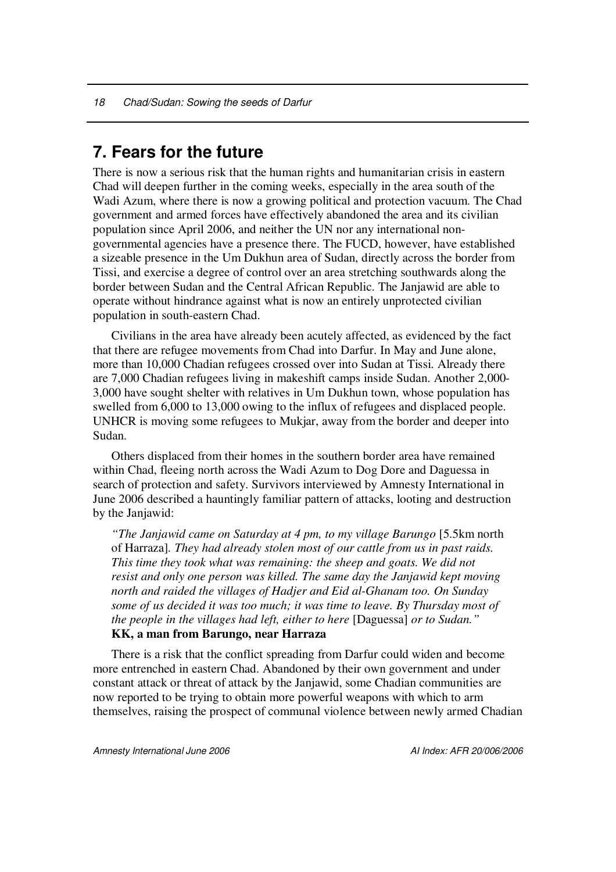# **7. Fears for the future**

There is now a serious risk that the human rights and humanitarian crisis in eastern Chad will deepen further in the coming weeks, especially in the area south of the Wadi Azum, where there is now a growing political and protection vacuum. The Chad government and armed forces have effectively abandoned the area and its civilian population since April 2006, and neither the UN nor any international nongovernmental agencies have a presence there. The FUCD, however, have established a sizeable presence in the Um Dukhun area of Sudan, directly across the border from Tissi, and exercise a degree of control over an area stretching southwards along the border between Sudan and the Central African Republic. The Janjawid are able to operate without hindrance against what is now an entirely unprotected civilian population in south-eastern Chad.

Civilians in the area have already been acutely affected, as evidenced by the fact that there are refugee movements from Chad into Darfur. In May and June alone, more than 10,000 Chadian refugees crossed over into Sudan at Tissi. Already there are 7,000 Chadian refugees living in makeshift camps inside Sudan. Another 2,000- 3,000 have sought shelter with relatives in Um Dukhun town, whose population has swelled from 6,000 to 13,000 owing to the influx of refugees and displaced people. UNHCR is moving some refugees to Mukjar, away from the border and deeper into Sudan.

Others displaced from their homes in the southern border area have remained within Chad, fleeing north across the Wadi Azum to Dog Dore and Daguessa in search of protection and safety. Survivors interviewed by Amnesty International in June 2006 described a hauntingly familiar pattern of attacks, looting and destruction by the Janjawid:

*"The Janjawid came on Saturday at 4 pm, to my village Barungo* [5.5km north of Harraza]*. They had already stolen most of our cattle from us in past raids. This time they took what was remaining: the sheep and goats. We did not resist and only one person was killed. The same day the Janjawid kept moving north and raided the villages of Hadjer and Eid al-Ghanam too. On Sunday some of us decided it was too much; it was time to leave. By Thursday most of the people in the villages had left, either to here* [Daguessa] *or to Sudan."* **KK, a man from Barungo, near Harraza**

There is a risk that the conflict spreading from Darfur could widen and become more entrenched in eastern Chad. Abandoned by their own government and under constant attack or threat of attack by the Janjawid, some Chadian communities are now reported to be trying to obtain more powerful weapons with which to arm themselves, raising the prospect of communal violence between newly armed Chadian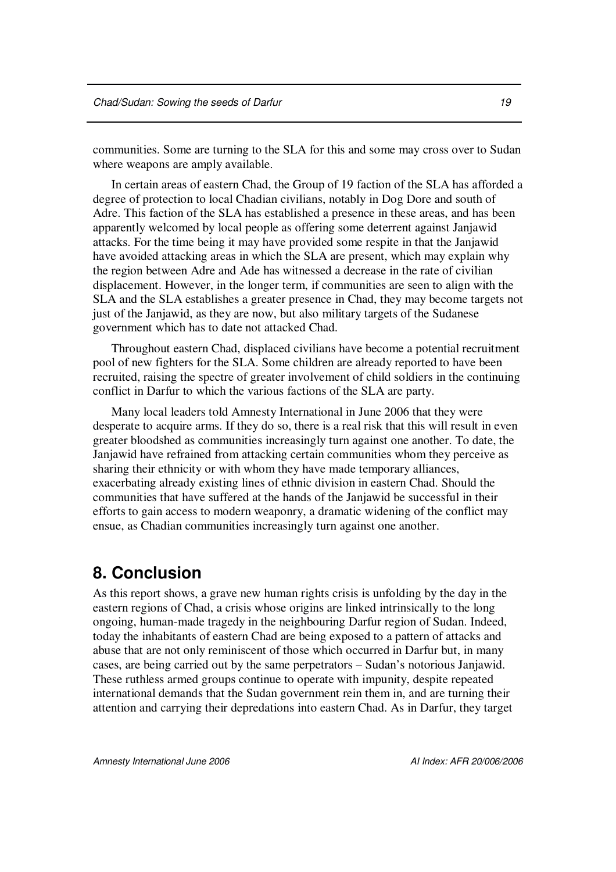communities. Some are turning to the SLA for this and some may cross over to Sudan where weapons are amply available.

In certain areas of eastern Chad, the Group of 19 faction of the SLA has afforded a degree of protection to local Chadian civilians, notably in Dog Dore and south of Adre. This faction of the SLA has established a presence in these areas, and has been apparently welcomed by local people as offering some deterrent against Janjawid attacks. For the time being it may have provided some respite in that the Janjawid have avoided attacking areas in which the SLA are present, which may explain why the region between Adre and Ade has witnessed a decrease in the rate of civilian displacement. However, in the longer term, if communities are seen to align with the SLA and the SLA establishes a greater presence in Chad, they may become targets not just of the Janjawid, as they are now, but also military targets of the Sudanese government which has to date not attacked Chad.

Throughout eastern Chad, displaced civilians have become a potential recruitment pool of new fighters for the SLA. Some children are already reported to have been recruited, raising the spectre of greater involvement of child soldiers in the continuing conflict in Darfur to which the various factions of the SLA are party.

Many local leaders told Amnesty International in June 2006 that they were desperate to acquire arms. If they do so, there is a real risk that this will result in even greater bloodshed as communities increasingly turn against one another. To date, the Janjawid have refrained from attacking certain communities whom they perceive as sharing their ethnicity or with whom they have made temporary alliances, exacerbating already existing lines of ethnic division in eastern Chad. Should the communities that have suffered at the hands of the Janjawid be successful in their efforts to gain access to modern weaponry, a dramatic widening of the conflict may ensue, as Chadian communities increasingly turn against one another.

### **8. Conclusion**

As this report shows, a grave new human rights crisis is unfolding by the day in the eastern regions of Chad, a crisis whose origins are linked intrinsically to the long ongoing, human-made tragedy in the neighbouring Darfur region of Sudan. Indeed, today the inhabitants of eastern Chad are being exposed to a pattern of attacks and abuse that are not only reminiscent of those which occurred in Darfur but, in many cases, are being carried out by the same perpetrators – Sudan's notorious Janjawid. These ruthless armed groups continue to operate with impunity, despite repeated international demands that the Sudan government rein them in, and are turning their attention and carrying their depredations into eastern Chad. As in Darfur, they target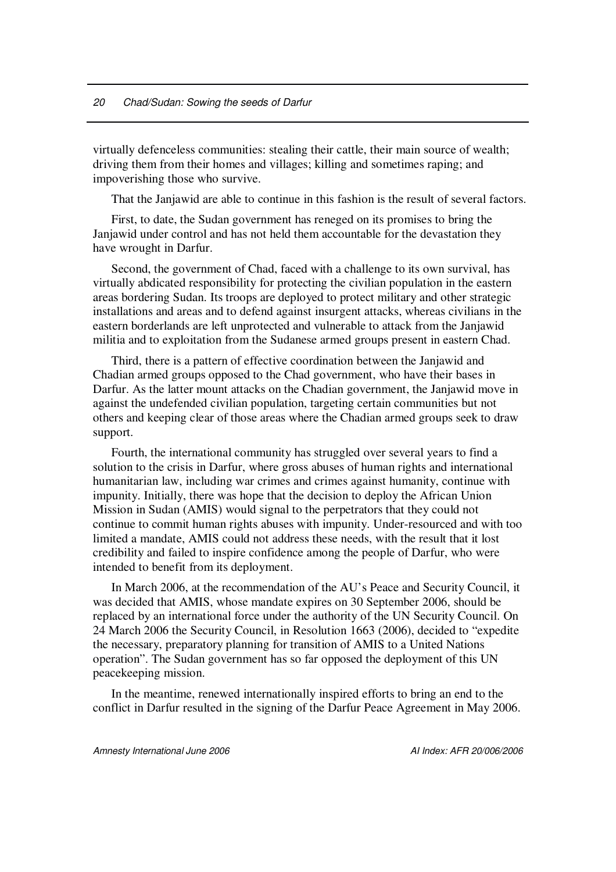virtually defenceless communities: stealing their cattle, their main source of wealth; driving them from their homes and villages; killing and sometimes raping; and impoverishing those who survive.

That the Janjawid are able to continue in this fashion is the result of several factors.

First, to date, the Sudan government has reneged on its promises to bring the Janjawid under control and has not held them accountable for the devastation they have wrought in Darfur.

Second, the government of Chad, faced with a challenge to its own survival, has virtually abdicated responsibility for protecting the civilian population in the eastern areas bordering Sudan. Its troops are deployed to protect military and other strategic installations and areas and to defend against insurgent attacks, whereas civilians in the eastern borderlands are left unprotected and vulnerable to attack from the Janjawid militia and to exploitation from the Sudanese armed groups present in eastern Chad.

Third, there is a pattern of effective coordination between the Janjawid and Chadian armed groups opposed to the Chad government, who have their bases in Darfur. As the latter mount attacks on the Chadian government, the Janjawid move in against the undefended civilian population, targeting certain communities but not others and keeping clear of those areas where the Chadian armed groups seek to draw support.

Fourth, the international community has struggled over several years to find a solution to the crisis in Darfur, where gross abuses of human rights and international humanitarian law, including war crimes and crimes against humanity, continue with impunity. Initially, there was hope that the decision to deploy the African Union Mission in Sudan (AMIS) would signal to the perpetrators that they could not continue to commit human rights abuses with impunity. Under-resourced and with too limited a mandate, AMIS could not address these needs, with the result that it lost credibility and failed to inspire confidence among the people of Darfur, who were intended to benefit from its deployment.

In March 2006, at the recommendation of the AU's Peace and Security Council, it was decided that AMIS, whose mandate expires on 30 September 2006, should be replaced by an international force under the authority of the UN Security Council. On 24 March 2006 the Security Council, in Resolution 1663 (2006), decided to "expedite the necessary, preparatory planning for transition of AMIS to a United Nations operation". The Sudan government has so far opposed the deployment of this UN peacekeeping mission.

In the meantime, renewed internationally inspired efforts to bring an end to the conflict in Darfur resulted in the signing of the Darfur Peace Agreement in May 2006.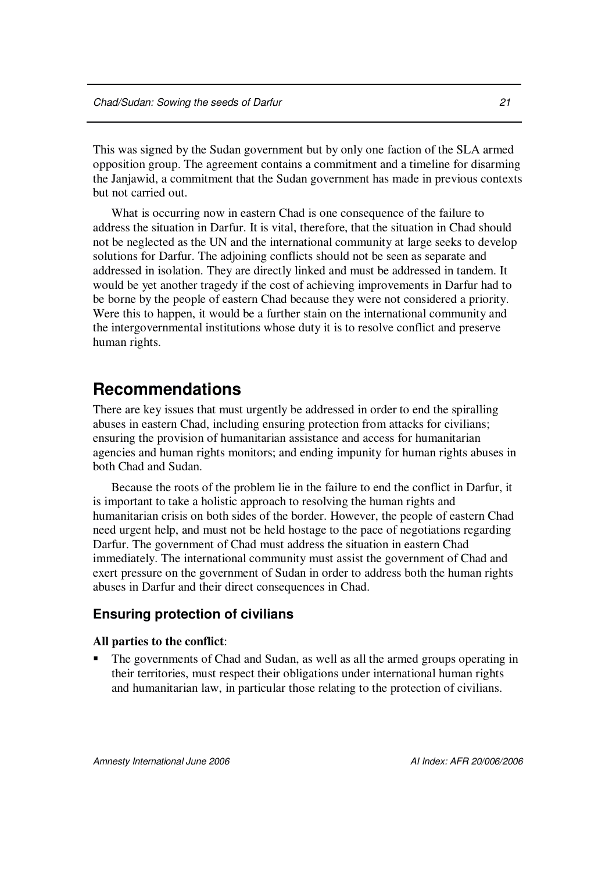This was signed by the Sudan government but by only one faction of the SLA armed opposition group. The agreement contains a commitment and a timeline for disarming the Janjawid, a commitment that the Sudan government has made in previous contexts but not carried out.

What is occurring now in eastern Chad is one consequence of the failure to address the situation in Darfur. It is vital, therefore, that the situation in Chad should not be neglected as the UN and the international community at large seeks to develop solutions for Darfur. The adjoining conflicts should not be seen as separate and addressed in isolation. They are directly linked and must be addressed in tandem. It would be yet another tragedy if the cost of achieving improvements in Darfur had to be borne by the people of eastern Chad because they were not considered a priority. Were this to happen, it would be a further stain on the international community and the intergovernmental institutions whose duty it is to resolve conflict and preserve human rights.

### **Recommendations**

There are key issues that must urgently be addressed in order to end the spiralling abuses in eastern Chad, including ensuring protection from attacks for civilians; ensuring the provision of humanitarian assistance and access for humanitarian agencies and human rights monitors; and ending impunity for human rights abuses in both Chad and Sudan.

Because the roots of the problem lie in the failure to end the conflict in Darfur, it is important to take a holistic approach to resolving the human rights and humanitarian crisis on both sides of the border. However, the people of eastern Chad need urgent help, and must not be held hostage to the pace of negotiations regarding Darfur. The government of Chad must address the situation in eastern Chad immediately. The international community must assist the government of Chad and exert pressure on the government of Sudan in order to address both the human rights abuses in Darfur and their direct consequences in Chad.

### **Ensuring protection of civilians**

#### **All parties to the conflict**:

 The governments of Chad and Sudan, as well as all the armed groups operating in their territories, must respect their obligations under international human rights and humanitarian law, in particular those relating to the protection of civilians.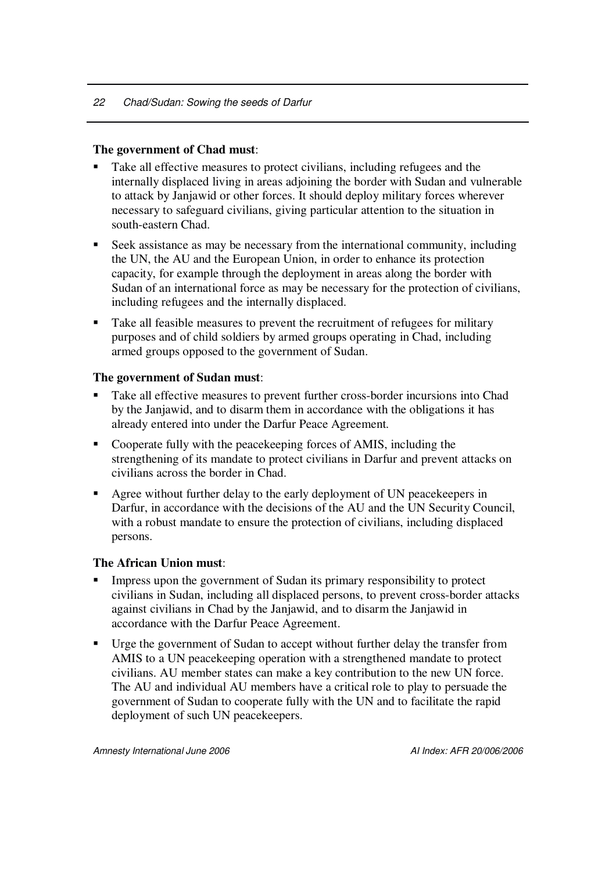### **The government of Chad must**:

- Take all effective measures to protect civilians, including refugees and the internally displaced living in areas adjoining the border with Sudan and vulnerable to attack by Janjawid or other forces. It should deploy military forces wherever necessary to safeguard civilians, giving particular attention to the situation in south-eastern Chad.
- Seek assistance as may be necessary from the international community, including the UN, the AU and the European Union, in order to enhance its protection capacity, for example through the deployment in areas along the border with Sudan of an international force as may be necessary for the protection of civilians, including refugees and the internally displaced.
- Take all feasible measures to prevent the recruitment of refugees for military purposes and of child soldiers by armed groups operating in Chad, including armed groups opposed to the government of Sudan.

### **The government of Sudan must**:

- Take all effective measures to prevent further cross-border incursions into Chad by the Janjawid, and to disarm them in accordance with the obligations it has already entered into under the Darfur Peace Agreement*.*
- Cooperate fully with the peacekeeping forces of AMIS, including the strengthening of its mandate to protect civilians in Darfur and prevent attacks on civilians across the border in Chad.
- Agree without further delay to the early deployment of UN peacekeepers in Darfur, in accordance with the decisions of the AU and the UN Security Council, with a robust mandate to ensure the protection of civilians, including displaced persons.

### **The African Union must**:

- Impress upon the government of Sudan its primary responsibility to protect civilians in Sudan, including all displaced persons, to prevent cross-border attacks against civilians in Chad by the Janjawid, and to disarm the Janjawid in accordance with the Darfur Peace Agreement.
- Urge the government of Sudan to accept without further delay the transfer from AMIS to a UN peacekeeping operation with a strengthened mandate to protect civilians. AU member states can make a key contribution to the new UN force. The AU and individual AU members have a critical role to play to persuade the government of Sudan to cooperate fully with the UN and to facilitate the rapid deployment of such UN peacekeepers.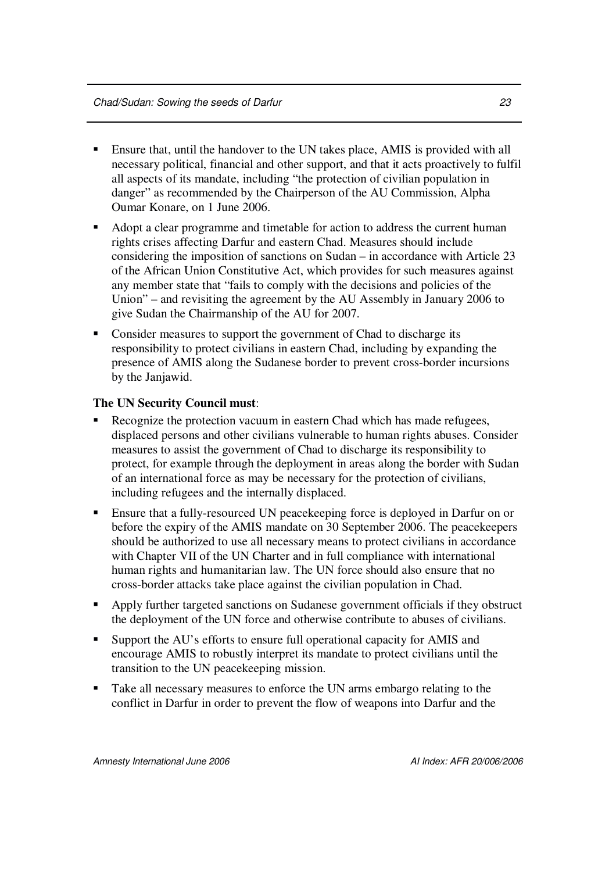- Ensure that, until the handover to the UN takes place, AMIS is provided with all necessary political, financial and other support, and that it acts proactively to fulfil all aspects of its mandate, including "the protection of civilian population in danger" as recommended by the Chairperson of the AU Commission, Alpha Oumar Konare, on 1 June 2006.
- Adopt a clear programme and timetable for action to address the current human rights crises affecting Darfur and eastern Chad. Measures should include considering the imposition of sanctions on Sudan – in accordance with Article 23 of the African Union Constitutive Act, which provides for such measures against any member state that "fails to comply with the decisions and policies of the Union" – and revisiting the agreement by the AU Assembly in January 2006 to give Sudan the Chairmanship of the AU for 2007.
- Consider measures to support the government of Chad to discharge its responsibility to protect civilians in eastern Chad, including by expanding the presence of AMIS along the Sudanese border to prevent cross-border incursions by the Janjawid.

### **The UN Security Council must**:

- Recognize the protection vacuum in eastern Chad which has made refugees, displaced persons and other civilians vulnerable to human rights abuses. Consider measures to assist the government of Chad to discharge its responsibility to protect, for example through the deployment in areas along the border with Sudan of an international force as may be necessary for the protection of civilians, including refugees and the internally displaced.
- Ensure that a fully-resourced UN peacekeeping force is deployed in Darfur on or before the expiry of the AMIS mandate on 30 September 2006. The peacekeepers should be authorized to use all necessary means to protect civilians in accordance with Chapter VII of the UN Charter and in full compliance with international human rights and humanitarian law. The UN force should also ensure that no cross-border attacks take place against the civilian population in Chad.
- Apply further targeted sanctions on Sudanese government officials if they obstruct the deployment of the UN force and otherwise contribute to abuses of civilians.
- Support the AU's efforts to ensure full operational capacity for AMIS and encourage AMIS to robustly interpret its mandate to protect civilians until the transition to the UN peacekeeping mission.
- Take all necessary measures to enforce the UN arms embargo relating to the conflict in Darfur in order to prevent the flow of weapons into Darfur and the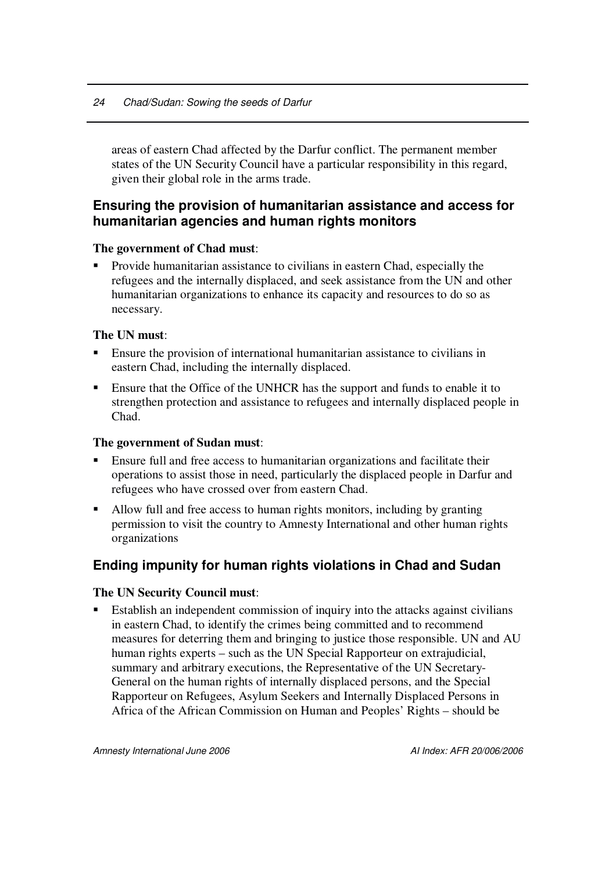areas of eastern Chad affected by the Darfur conflict. The permanent member states of the UN Security Council have a particular responsibility in this regard, given their global role in the arms trade.

### **Ensuring the provision of humanitarian assistance and access for humanitarian agencies and human rights monitors**

### **The government of Chad must**:

 Provide humanitarian assistance to civilians in eastern Chad, especially the refugees and the internally displaced, and seek assistance from the UN and other humanitarian organizations to enhance its capacity and resources to do so as necessary.

### **The UN must**:

- Ensure the provision of international humanitarian assistance to civilians in eastern Chad, including the internally displaced.
- Ensure that the Office of the UNHCR has the support and funds to enable it to strengthen protection and assistance to refugees and internally displaced people in Chad.

### **The government of Sudan must**:

- Ensure full and free access to humanitarian organizations and facilitate their operations to assist those in need, particularly the displaced people in Darfur and refugees who have crossed over from eastern Chad.
- Allow full and free access to human rights monitors, including by granting permission to visit the country to Amnesty International and other human rights organizations

### **Ending impunity for human rights violations in Chad and Sudan**

### **The UN Security Council must**:

 Establish an independent commission of inquiry into the attacks against civilians in eastern Chad, to identify the crimes being committed and to recommend measures for deterring them and bringing to justice those responsible. UN and AU human rights experts – such as the UN Special Rapporteur on extrajudicial, summary and arbitrary executions, the Representative of the UN Secretary-General on the human rights of internally displaced persons, and the Special Rapporteur on Refugees, Asylum Seekers and Internally Displaced Persons in Africa of the African Commission on Human and Peoples' Rights – should be